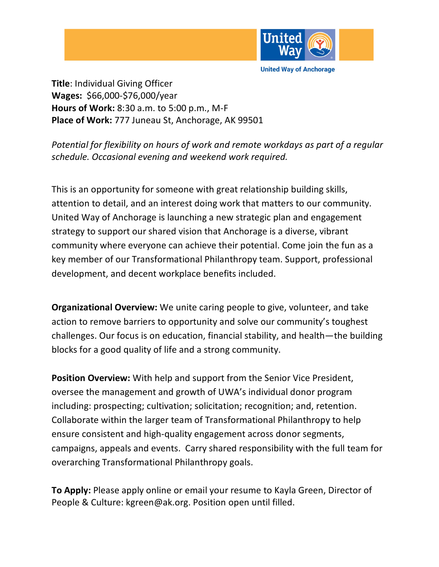

**United Way of Anchorage** 

**Title**: Individual Giving Officer **Wages:** \$66,000-\$76,000/year **Hours of Work:** 8:30 a.m. to 5:00 p.m., M-F **Place of Work:** 777 Juneau St, Anchorage, AK 99501

*Potential for flexibility on hours of work and remote workdays as part of a regular schedule. Occasional evening and weekend work required.* 

This is an opportunity for someone with great relationship building skills, attention to detail, and an interest doing work that matters to our community. United Way of Anchorage is launching a new strategic plan and engagement strategy to support our shared vision that Anchorage is a diverse, vibrant community where everyone can achieve their potential. Come join the fun as a key member of our Transformational Philanthropy team. Support, professional development, and decent workplace benefits included.

**Organizational Overview:** We unite caring people to give, volunteer, and take action to remove barriers to opportunity and solve our community's toughest challenges. Our focus is on education, financial stability, and health—the building blocks for a good quality of life and a strong community.

**Position Overview:** With help and support from the Senior Vice President, oversee the management and growth of UWA's individual donor program including: prospecting; cultivation; solicitation; recognition; and, retention. Collaborate within the larger team of Transformational Philanthropy to help ensure consistent and high-quality engagement across donor segments, campaigns, appeals and events. Carry shared responsibility with the full team for overarching Transformational Philanthropy goals.

**To Apply:** Please apply online or email your resume to Kayla Green, Director of People & Culture: kgreen@ak.org. Position open until filled.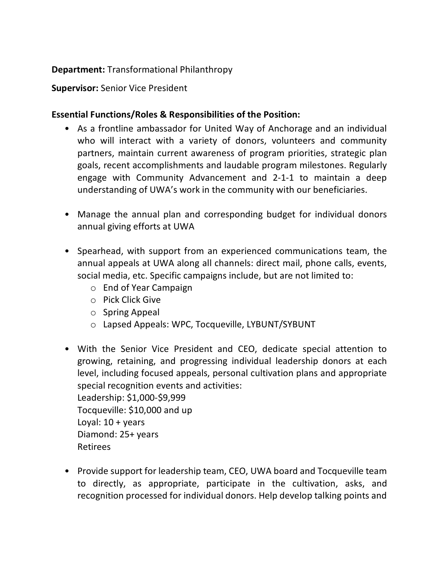## **Department:** Transformational Philanthropy

## **Supervisor:** Senior Vice President

## **Essential Functions/Roles & Responsibilities of the Position:**

- As a frontline ambassador for United Way of Anchorage and an individual who will interact with a variety of donors, volunteers and community partners, maintain current awareness of program priorities, strategic plan goals, recent accomplishments and laudable program milestones. Regularly engage with Community Advancement and 2-1-1 to maintain a deep understanding of UWA's work in the community with our beneficiaries.
- Manage the annual plan and corresponding budget for individual donors annual giving efforts at UWA
- Spearhead, with support from an experienced communications team, the annual appeals at UWA along all channels: direct mail, phone calls, events, social media, etc. Specific campaigns include, but are not limited to:
	- o End of Year Campaign
	- o Pick Click Give
	- o Spring Appeal
	- o Lapsed Appeals: WPC, Tocqueville, LYBUNT/SYBUNT
- With the Senior Vice President and CEO, dedicate special attention to growing, retaining, and progressing individual leadership donors at each level, including focused appeals, personal cultivation plans and appropriate special recognition events and activities: Leadership: \$1,000-\$9,999 Tocqueville: \$10,000 and up Loyal:  $10 + \gamma$ ears Diamond: 25+ years
	- Retirees
- Provide support for leadership team, CEO, UWA board and Tocqueville team to directly, as appropriate, participate in the cultivation, asks, and recognition processed for individual donors. Help develop talking points and